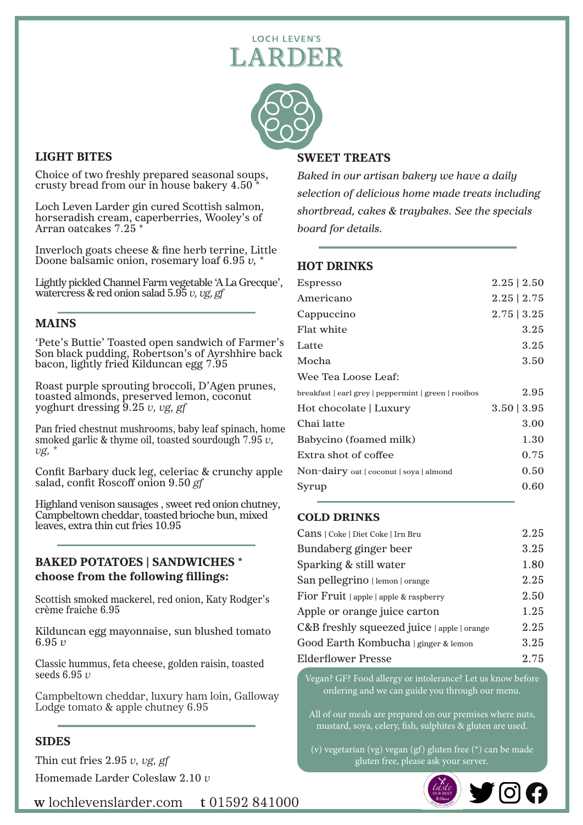# **LOCH LEVEN'S** ARDER



## LIGHT BITES

 $\overline{\phantom{a}}$ 

Choice of two freshly prepared seasonal soups, crusty bread from our in house bakery 4.50 \*

Loch Leven Larder gin cured Scottish salmon, horseradish cream, caperberries, Wooley's of Arran oatcakes 7.25 \*

Inverloch goats cheese & fine herb terrine, Little Doone balsamic onion, rosemary loaf 6.95 *v, \**

Lightly pickled Channel Farm vegetable 'A La Grecque', watercress & red onion salad 5.95 *v, vg, gf*

## MAINS

'Pete's Buttie' Toasted open sandwich of Farmer's Son black pudding, Robertson's of Ayrshhire back bacon, lightly fried Kilduncan egg 7.95

Roast purple sprouting broccoli, D'Agen prunes, toasted almonds, preserved lemon, coconut yoghurt dressing 9.25 *v, vg, gf*

Pan fried chestnut mushrooms, baby leaf spinach, home smoked garlic & thyme oil, toasted sourdough 7.95 *v, vg, \**

Confit Barbary duck leg, celeriac & crunchy apple salad, confit Roscoff onion 9.50 *gf*

Highland venison sausages , sweet red onion chutney, Campbeltown cheddar, toasted brioche bun, mixed leaves, extra thin cut fries 10.95

#### BAKED POTATOES | SANDWICHES \* choose from the following fillings:

Scottish smoked mackerel, red onion, Katy Rodger's crème fraiche 6.95

Kilduncan egg mayonnaise, sun blushed tomato 6.95 *v*

Classic hummus, feta cheese, golden raisin, toasted seeds 6.95 *v*

Campbeltown cheddar, luxury ham loin, Galloway Lodge tomato & apple chutney 6.95

#### SIDES

Thin cut fries 2.95 *v, vg, gf*

Homemade Larder Coleslaw 2.10 *v*

## *shortbread, cakes & traybakes. See the specials board for details.*

### HOT DRINKS

| <b>Espresso</b>                                      | $2.25 \mid 2.50$ |
|------------------------------------------------------|------------------|
| Americano                                            | $2.25$   $2.75$  |
| Cappuccino                                           | $2.75 \mid 3.25$ |
| Flat white                                           | 3.25             |
| Latte                                                | 3.25             |
| Mocha                                                | 3.50             |
| Wee Tea Loose Leaf:                                  |                  |
| breakfast   earl grey   peppermint   green   rooibos | 2.95             |
| Hot chocolate   Luxury                               | $3.50 \mid 3.95$ |
| Chai latte                                           | 3.00             |
| Babycino (foamed milk)                               | 1.30             |
| Extra shot of coffee                                 | 0.75             |
| Non-dairy oat   coconut   soya   almond              | 0.50             |
| Syrup                                                | 0.60             |
|                                                      |                  |

*Baked in our artisan bakery we have a daily* 

*selection of delicious home made treats including* 

#### COLD DRINKS

| Cans   Coke   Diet Coke   Irn Bru                  | 2.25 |
|----------------------------------------------------|------|
| Bundaberg ginger beer                              | 3.25 |
| Sparking & still water                             | 1.80 |
| San pellegrino   lemon   orange                    | 2.25 |
| Fior Fruit $\vert$ apple $\vert$ apple & raspberry | 2.50 |
| Apple or orange juice carton                       | 1.25 |
| C&B freshly squeezed juice   apple   orange        | 2.25 |
| Good Earth Kombucha   ginger & lemon               | 3.25 |
| Elderflower Presse                                 | 2.75 |

Vegan? GF? Food allergy or intolerance? Let us know before ordering and we can guide you through our menu.

All of our meals are prepared on our premises where nuts, mustard, soya, celery, fish, sulphites & gluten are used.

(v) vegetarian (vg) vegan (gf) gluten free (\*) can be made gluten free, please ask your server.



**w** lochlevenslarder.com **t** 01592 841000